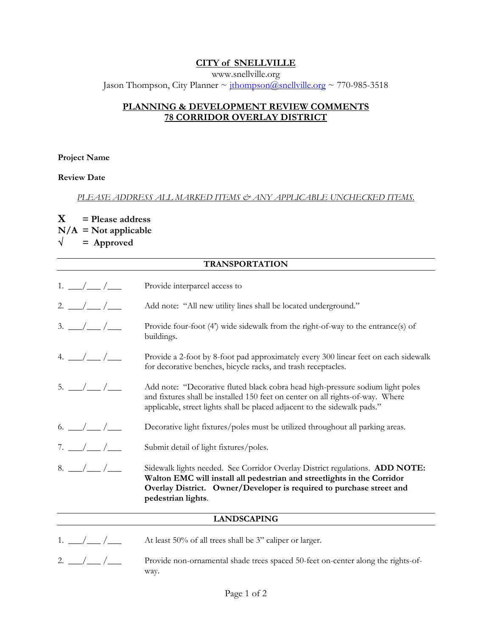## **CITY of SNELLVILLE**

www.snellville.org Jason Thompson, City Planner ~ ithompson@snellville.org ~ 770-985-3518

# **PLANNING & DEVELOPMENT REVIEW COMMENTS 78 CORRIDOR OVERLAY DISTRICT**

#### **Project Name**

## **Review Date**

#### *PLEASE ADDRESS ALL MARKED ITEMS & ANY APPLICABLE UNCHECKED ITEMS.*

# **X = Please address N/A = Not applicable**   $\sqrt{ }$  = Approved

| <b>TRANSPORTATION</b>                  |                                                                                                                                                                                                                                                      |
|----------------------------------------|------------------------------------------------------------------------------------------------------------------------------------------------------------------------------------------------------------------------------------------------------|
| $1. \_/\_/\_$                          | Provide interparcel access to                                                                                                                                                                                                                        |
| $2.$ $\frac{\ }{\ }$ / $\frac{\ }{\ }$ | Add note: "All new utility lines shall be located underground."                                                                                                                                                                                      |
| $3. \_ / \_ /$                         | Provide four-foot (4') wide sidewalk from the right-of-way to the entrance(s) of<br>buildings.                                                                                                                                                       |
| 4. $\frac{\frac{1}{2}}{\frac{1}{2}}$   | Provide a 2-foot by 8-foot pad approximately every 300 linear feet on each sidewalk<br>for decorative benches, bicycle racks, and trash receptacles.                                                                                                 |
| $5.$ $\frac{\ }{\ }$ / $\frac{\ }{\ }$ | Add note: "Decorative fluted black cobra head high-pressure sodium light poles<br>and fixtures shall be installed 150 feet on center on all rights-of-way. Where<br>applicable, street lights shall be placed adjacent to the sidewalk pads."        |
|                                        | Decorative light fixtures/poles must be utilized throughout all parking areas.                                                                                                                                                                       |
| $7. \_ / \_ /$                         | Submit detail of light fixtures/poles.                                                                                                                                                                                                               |
| $8. -/-/$                              | Sidewalk lights needed. See Corndor Overlay District regulations. ADD NOTE:<br>Walton EMC will install all pedestrian and streetlights in the Corridor<br>Overlay District. Owner/Developer is required to purchase street and<br>pedestrian lights. |
| <b>LANDSCAPING</b>                     |                                                                                                                                                                                                                                                      |
|                                        |                                                                                                                                                                                                                                                      |

- 1.  $\angle$  / $\angle$  At least 50% of all trees shall be 3" caliper or larger.
- 2.  $\frac{1}{2}$  / Provide non-ornamental shade trees spaced 50-feet on-center along the rights-ofway.